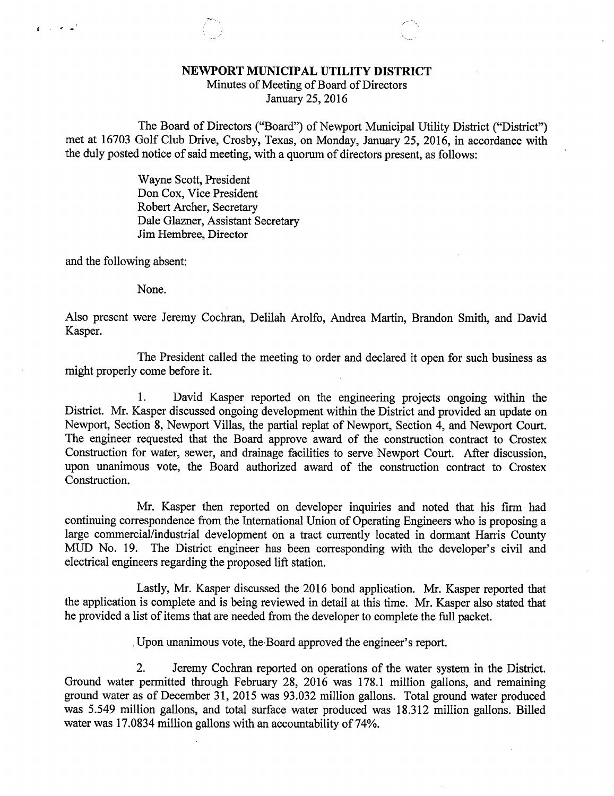## NEWPORT MUNICIPAL UTILITY DISTRICT

Minutes of Meeting of Board of Directors January 25, 2016

The Board of Directors ("Board") of Newport Municipal Utility District ("District") met at 16703 Golf Club Drive, Crosby, Texas, on Monday, January 25, 2016, in accordance with the duly posted notice of said meeting, with a quorum of directors present, as follows:

> Wayne Scott, President Don Cox, Vice President Robert Archer, Secretary Dale Glazner, Assistant Secretary Jim Hembree, Director

and the following absent:

 $\mathbf{f}$  and  $\mathbf{f}$  and  $\mathbf{f}$ 

None.

Also present were Jeremy Cochran, Delilah Arolfo, Andrea Martin, Brandon Smith, and David Kasper.

The President called the meeting to order and declared it open for such business as might properly come before it.

1. David Kasper reported on the engineering projects ongoing within the District. Mr. Kasper discussed ongoing development within the District and provided an update on Newport, Section 8, Newport Villas, the partial replat of Newport, Section 4, and Newport Court. The engineer requested that the Board approve award of the construction contract to Crostex Construction for water, sewer, and drainage facilities to serve Newport Court. After discussion, upon unanimous vote, the Board authorized award of the construction contract to Crostex Construction.

Mr. Kasper then reported on developer inquiries and noted that his firm had continuing correspondence from the International Union of Operating Engineers who is proposing a large commercial/industrial development on a tract currently located in dormant Harris County MUD No. 19. The District engineer has been corresponding with the developer's civil and electrical engineers regarding the proposed lift station.

Lastly, Mr. Kasper discussed the 2016 bond application. Mr. Kasper reported that the application is complete and is being reviewed in detail at this time. Mr. Kasper also stated that he provided a list of items that are needed from the developer to complete the full packet.

Upon unanimous vote, the,Board approved the engineer's report.

2. Jeremy Cochran reported on operations of the water system in the District. Ground water permitted through February 28, 2016 was 178.1 million gallons, and remaining ground water as of December 31, 2015 was 93.032 million gallons. Total ground water produced was 5.549 million gallons, and total surface water produced was 18.312 million gallons. Billed water was 17.0834 million gallons with an accountability of 74%.